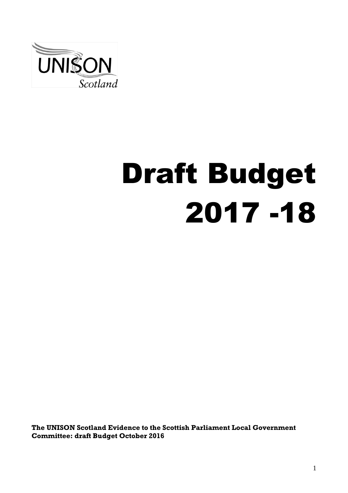

# Draft Budget 2017 -18

**The UNISON Scotland Evidence to the Scottish Parliament Local Government Committee: draft Budget October 2016**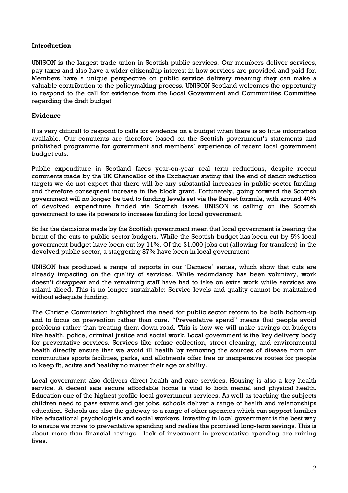# **Introduction**

UNISON is the largest trade union in Scottish public services. Our members deliver services, pay taxes and also have a wider citizenship interest in how services are provided and paid for. Members have a unique perspective on public service delivery meaning they can make a valuable contribution to the policymaking process. UNISON Scotland welcomes the opportunity to respond to the call for evidence from the Local Government and Communities Committee regarding the draft budget

#### **Evidence**

It is very difficult to respond to calls for evidence on a budget when there is so little information available. Our comments are therefore based on the Scottish government's statements and published programme for government and members' experience of recent local government budget cuts.

Public expenditure in Scotland faces year-on-year real term reductions, despite recent comments made by the UK Chancellor of the Exchequer stating that the end of deficit reduction targets we do not expect that there will be any substantial increases in public sector funding and therefore consequent increase in the block grant. Fortunately, going forward the Scottish government will no longer be tied to funding levels set via the Barnet formula, with around 40% of devolved expenditure funded via Scottish taxes. UNISON is calling on the Scottish government to use its powers to increase funding for local government.

So far the decisions made by the Scottish government mean that local government is bearing the brunt of the cuts to public sector budgets. While the Scottish budget has been cut by 5% local government budget have been cut by 11%. Of the 31,000 jobs cut (allowing for transfers) in the devolved public sector, a staggering 87% have been in local government.

UNISON has produced a range of [reports](http://www.unison-scotland.org/campaigns/public-works/damage/) in our 'Damage' series, which show that cuts are already impacting on the quality of services. While redundancy has been voluntary, work doesn't disappear and the remaining staff have had to take on extra work while services are salami sliced. This is no longer sustainable: Service levels and quality cannot be maintained without adequate funding.

The Christie Commission highlighted the need for public sector reform to be both bottom-up and to focus on prevention rather than cure. "Preventative spend" means that people avoid problems rather than treating them down road. This is how we will make savings on budgets like health, police, criminal justice and social work. Local government is the key delivery body for preventative services. Services like refuse collection, street cleaning, and environmental health directly ensure that we avoid ill health by removing the sources of disease from our communities sports facilities, parks, and allotments offer free or inexpensive routes for people to keep fit, active and healthy no matter their age or ability.

Local government also delivers direct health and care services. Housing is also a key health service. A decent safe secure affordable home is vital to both mental and physical health. Education one of the highest profile local government services. As well as teaching the subjects children need to pass exams and get jobs, schools deliver a range of health and relationships education. Schools are also the gateway to a range of other agencies which can support families like educational psychologists and social workers. Investing in local government is the best way to ensure we move to preventative spending and realise the promised long-term savings. This is about more than financial savings - lack of investment in preventative spending are ruining lives.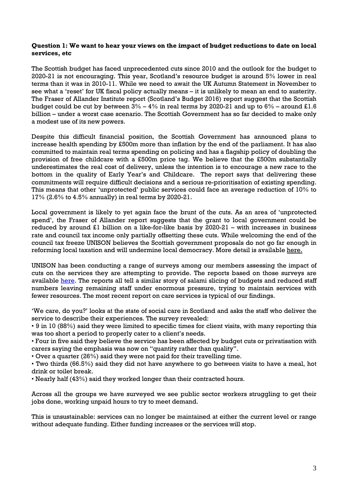#### **Question 1: We want to hear your views on the impact of budget reductions to date on local services, etc**

The Scottish budget has faced unprecedented cuts since 2010 and the outlook for the budget to 2020-21 is not encouraging. This year, Scotland's resource budget is around 5% lower in real terms than it was in 2010-11. While we need to await the UK Autumn Statement in November to see what a 'reset' for UK fiscal policy actually means – it is unlikely to mean an end to austerity. The Fraser of Allander Institute report (Scotland's Budget 2016) report suggest that the Scottish budget could be cut by between  $3\% - 4\%$  in real terms by 2020-21 and up to  $6\%$  – around £1.6 billion – under a worst case scenario. The Scottish Government has so far decided to make only a modest use of its new powers.

Despite this difficult financial position, the Scottish Government has announced plans to increase health spending by £500m more than inflation by the end of the parliament. It has also committed to maintain real terms spending on policing and has a flagship policy of doubling the provision of free childcare with a £500m price tag. We believe that the £500m substantially underestimates the real cost of delivery, unless the intention is to encourage a new race to the bottom in the quality of Early Year's and Childcare. The report says that delivering these commitments will require difficult decisions and a serious re-prioritisation of existing spending. This means that other 'unprotected' public services could face an average reduction of 10% to 17% (2.6% to 4.5% annually) in real terms by 2020-21.

Local government is likely to yet again face the brunt of the cuts. As an area of 'unprotected spend', the Fraser of Allander report suggests that the grant to local government could be reduced by around £1 billion on a like-for-like basis by 2020-21 – with increases in business rate and council tax income only partially offsetting these cuts. While welcoming the end of the council tax freeze UNISON believes the Scottish government proposals do not go far enough in reforming local taxation and will undermine local democracy. More detail is available [here.](http://www.unison-scotland.org/2016/09/19/changes-to-the-council-tax/)

UNISON has been conducting a range of surveys among our members assessing the impact of cuts on the services they are attempting to provide. The reports based on those surveys are available [here.](http://www.unison-scotland.org/campaigns/public-works/damage/) The reports all tell a similar story of salami slicing of budgets and reduced staff numbers leaving remaining staff under enormous pressure, trying to maintain services with fewer resources. The most recent report on care services is typical of our findings.

'We care, do you?' looks at the state of social care in Scotland and asks the staff who deliver the service to describe their experiences. The survey revealed:

• 9 in 10 (88%) said they were limited to specific times for client visits, with many reporting this was too short a period to properly cater to a client's needs.

• Four in five said they believe the service has been affected by budget cuts or privatisation with carers saying the emphasis was now on "quantity rather than quality".

• Over a quarter (26%) said they were not paid for their travelling time.

• Two thirds (66.5%) said they did not have anywhere to go between visits to have a meal, hot drink or toilet break.

• Nearly half (43%) said they worked longer than their contracted hours.

Across all the groups we have surveyed we see public sector workers struggling to get their jobs done, working unpaid hours to try to meet demand.

This is unsustainable: services can no longer be maintained at either the current level or range without adequate funding. Either funding increases or the services will stop.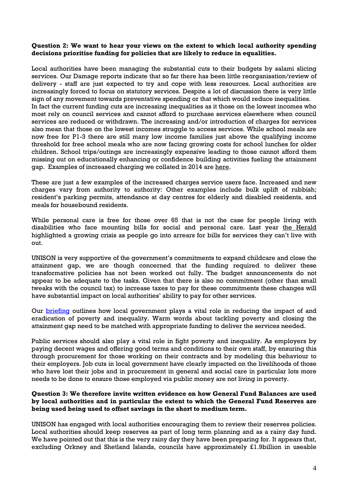#### **Question 2: We want to hear your views on the extent to which local authority spending decisions prioritise funding for policies that are likely to reduce in equalities.**

Local authorities have been managing the substantial cuts to their budgets by salami slicing services. Our Damage reports indicate that so far there has been little reorganisation/review of delivery - staff are just expected to try and cope with less resources. Local authorities are increasingly forced to focus on statutory services. Despite a lot of discussion there is very little sign of any movement towards preventative spending or that which would reduce inequalities. In fact the current funding cuts are increasing inequalities as it those on the lowest incomes who most rely on council services and cannot afford to purchase services elsewhere when council services are reduced or withdrawn. The increasing and/or introduction of charges for services also mean that those on the lowest incomes struggle to access services. While school meals are now free for P1-3 there are still many low income families just above the qualifying income threshold for free school meals who are now facing growing costs for school lunches for older children. School trips/outings are increasingly expensive leading to those cannot afford them missing out on educationally enhancing or confidence building activities fueling the attainment gap. Examples of increased charging we collated in 2014 are [here.](http://www.unison-scotland.org.uk/briefings/e-briefing_CouncilTaxFreeze_June2014.pdf)

These are just a few examples of the increased charges service users face. Increased and new charges vary from authority to authority: Other examples include bulk uplift of rubbish; resident's parking permits, attendance at day centres for elderly and disabled residents, and meals for housebound residents.

While personal care is free for those over 65 that is not the case for people living with disabilities who face mounting bills for social and personal care. Last year the [Herald](http://www.heraldscotland.com/news/13411724.Councils_face_a__care_tax__crisis_as_14_500_are_unable_to_pay_social_and_personal_care_bills/) highlighted a growing crisis as people go into arrears for bills for services they can't live with out.

UNISON is very supportive of the government's commitments to expand childcare and close the attainment gap, we are though concerned that the funding required to deliver these transformative policies has not been worked out fully. The budget announcements do not appear to be adequate to the tasks. Given that there is also no commitment (other than small tweaks with the council tax) to increase taxes to pay for these commitments these changes will have substantial impact on local authorities' ability to pay for other services.

Our **[briefing](http://www.unison-scotland.org/2016/01/14/briefing-71-why-we-need-local-government-to-deliver-good-health-jan-2016/)** outlines how local government plays a vital role in reducing the impact of and eradication of poverty and inequality. Warm words about tackling poverty and closing the attainment gap need to be matched with appropriate funding to deliver the services needed.

Public services should also play a vital role in fight poverty and inequality. As employers by paying decent wages and offering good terms and conditions to their own staff, by ensuring this through procurement for those working on their contracts and by modeling this behaviour to their employers. Job cuts in local government have clearly impacted on the livelihoods of those who have lost their jobs and in procurement in general and social care in particular lots more needs to be done to ensure those employed via public money are not living in poverty.

#### **Question 3: We therefore invite written evidence on how General Fund Balances are used by local authorities and in particular the extent to which the General Fund Reserves are being used being used to offset savings in the short to medium term.**

UNISON has engaged with local authorities encouraging them to review their reserves policies. Local authorities should keep reserves as part of long term planning and as a rainy day fund. We have pointed out that this is the very rainy day they have been preparing for. It appears that, excluding Orkney and Shetland Islands, councils have approximately £1.9billion in useable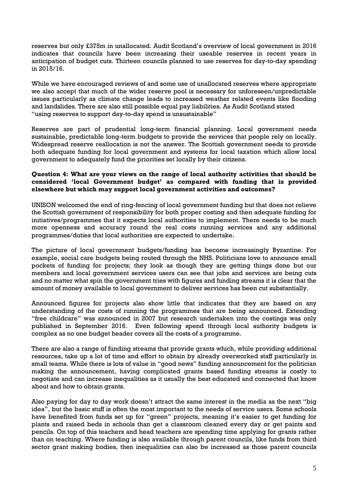reserves but only £375m in unallocated. Audit Scotland's overview of local government in 2016 indicates that councils have been increasing their useable reserves in recent years in anticipation of budget cuts. Thirteen councils planned to use reserves for day-to-day spending in 2015/16.

While we have encouraged reviews of and some use of unallocated reserves where appropriate we also accept that much of the wider reserve pool is necessary for unforeseen/unpredictable issues particularly as climate change leads to increased weather related events like flooding and landslides. There are also still possible equal pay liabilities. As Audit Scotland stated "using reserves to support day-to-day spend is unsustainable"

Reserves are part of prudential long-term financial planning. Local government needs sustainable, predictable long-term budgets to provide the services that people rely on locally. Widespread reserve reallocation is not the answer. The Scottish government needs to provide both adequate funding for local government and systems for local taxation which allow local government to adequately fund the priorities set locally by their citizens.

### **Question 4: What are your views on the range of local authority activities that should be considered 'local Government budget' as compared with funding that is provided elsewhere but which may support local government activities and outcomes?**

UNISON welcomed the end of ring-fencing of local government funding but that does not relieve the Scottish government of responsibility for both proper costing and then adequate funding for initiatives/programmes that it expects local authorities to implement. There needs to be much more openness and accuracy round the real costs running services and any additional programmes/duties that local authorities are expected to undertake.

The picture of local government budgets/funding has become increasingly Byzantine. For example, social care budgets being routed through the NHS. Politicians love to announce small pockets of funding for projects; they look as though they are getting things done but our members and local government services users can see that jobs and services are being cuts and no matter what spin the government tries with figures and funding streams it is clear that the amount of money available to local government to deliver services has been cut substantially.

Announced figures for projects also show little that indicates that they are based on any understanding of the costs of running the programmes that are being announced. Extending "free childcare" was announced in 2007 but research undertaken into the costings was only published in September 2016. Even following spend through local authority budgets is complex as no one budget header covers all the costs of a programme.

There are also a range of funding streams that provide grants which, while providing additional resources, take up a lot of time and effort to obtain by already overworked staff particularly in small teams. While there is lots of value in "good news" funding announcement for the politician making the announcement, having complicated grants based funding streams is costly to negotiate and can increase inequalities as it usually the best educated and connected that know about and how to obtain grants.

Also paying for day to day work doesn't attract the same interest in the media as the next "big idea", but the basic stuff is often the most important to the needs of service users. Some schools have benefited from funds set up for "green" projects, meaning it's easier to get funding for plants and raised beds in schools than get a classroom cleaned every day or get paints and pencils. On top of this teachers and head teachers are spending time applying for grants rather than on teaching. Where funding is also available through parent councils, like funds from third sector grant making bodies, then inequalities can also be increased as those parent councils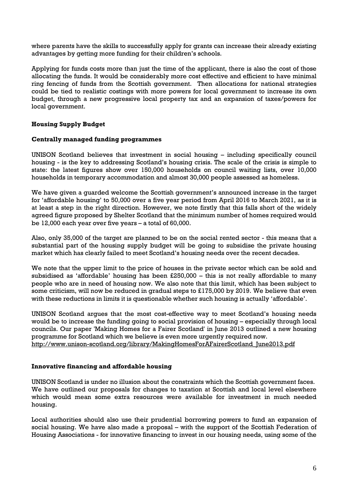where parents have the skills to successfully apply for grants can increase their already existing advantages by getting more funding for their children's schools.

Applying for funds costs more than just the time of the applicant, there is also the cost of those allocating the funds. It would be considerably more cost effective and efficient to have minimal ring fencing of funds from the Scottish government. Then allocations for national strategies could be tied to realistic costings with more powers for local government to increase its own budget, through a new progressive local property tax and an expansion of taxes/powers for local government.

# **Housing Supply Budget**

#### **Centrally managed funding programmes**

UNISON Scotland believes that investment in social housing – including specifically council housing - is the key to addressing Scotland's housing crisis. The scale of the crisis is simple to state: the latest figures show over 150,000 households on council waiting lists, over 10,000 households in temporary accommodation and almost 30,000 people assessed as homeless.

We have given a guarded welcome the Scottish government's announced increase in the target for 'affordable housing' to 50,000 over a five year period from April 2016 to March 2021, as it is at least a step in the right direction. However, we note firstly that this falls short of the widely agreed figure proposed by Shelter Scotland that the minimum number of homes required would be 12,000 each year over five years – a total of 60,000.

Also, only 35,000 of the target are planned to be on the social rented sector - this means that a substantial part of the housing supply budget will be going to subsidise the private housing market which has clearly failed to meet Scotland's housing needs over the recent decades.

We note that the upper limit to the price of houses in the private sector which can be sold and subsidised as 'affordable' housing has been £250,000 – this is not really affordable to many people who are in need of housing now. We also note that this limit, which has been subject to some criticism, will now be reduced in gradual steps to £175,000 by 2019. We believe that even with these reductions in limits it is questionable whether such housing is actually 'affordable'.

UNISON Scotland argues that the most cost-effective way to meet Scotland's housing needs would be to increase the funding going to social provision of housing – especially through local councils. Our paper 'Making Homes for a Fairer Scotland' in June 2013 outlined a new housing programme for Scotland which we believe is even more urgently required now. [http://www.unison-scotland.org/library/MakingHomesForAFairerScotland\\_June2013.pdf](http://www.unison-scotland.org/library/MakingHomesForAFairerScotland_June2013.pdf)

#### **Innovative financing and affordable housing**

UNISON Scotland is under no illusion about the constraints which the Scottish government faces. We have outlined our proposals for changes to taxation at Scottish and local level elsewhere which would mean some extra resources were available for investment in much needed housing.

Local authorities should also use their prudential borrowing powers to fund an expansion of social housing. We have also made a proposal – with the support of the Scottish Federation of Housing Associations - for innovative financing to invest in our housing needs, using some of the